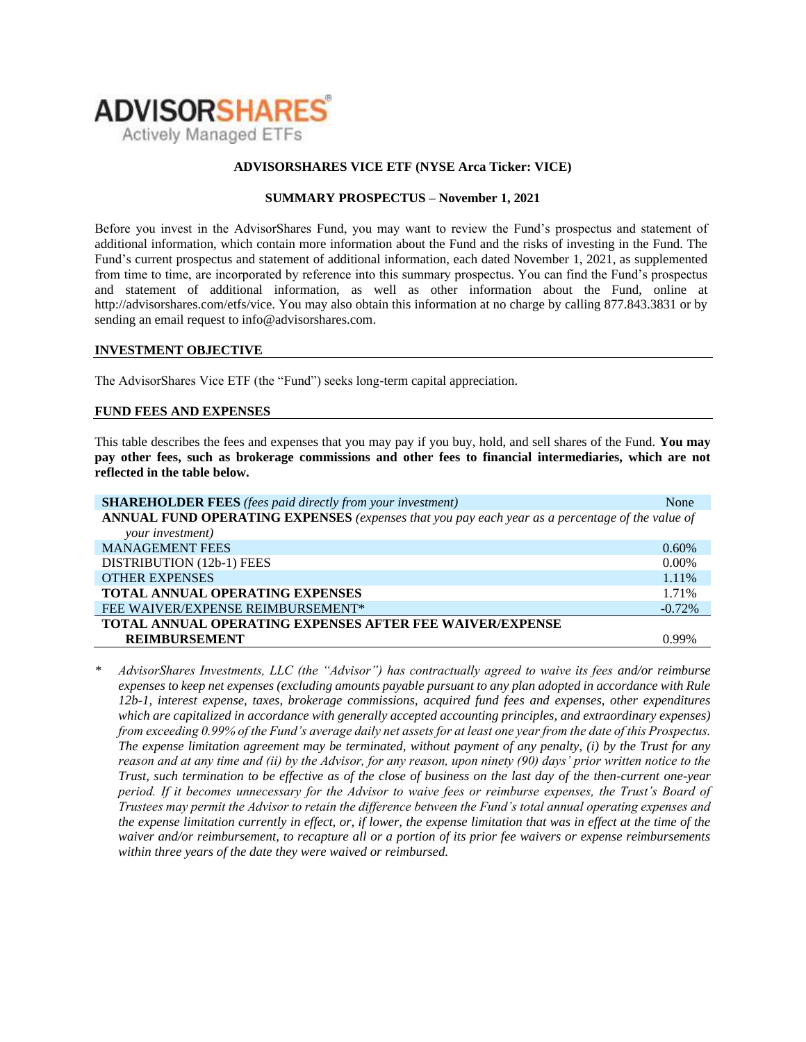

### **ADVISORSHARES VICE ETF (NYSE Arca Ticker: VICE)**

### **SUMMARY PROSPECTUS – November 1, 2021**

Before you invest in the AdvisorShares Fund, you may want to review the Fund's prospectus and statement of additional information, which contain more information about the Fund and the risks of investing in the Fund. The Fund's current [prospectus and statement of additional information,](https://www.sec.gov/ix?doc=/Archives/edgar/data/1408970/000182912621013072/ck0001408970-20210630.htm) each dated November 1, 2021, as supplemented from time to time, are incorporated by reference into this summary prospectus. You can find the Fund's prospectus and statement of additional information, as well as other information about the Fund, online at http://advisorshares.com/etfs/vice. You may also obtain this information at no charge by calling 877.843.3831 or by sending an email request to info@advisorshares.com.

#### **INVESTMENT OBJECTIVE**

The AdvisorShares Vice ETF (the "Fund") seeks long-term capital appreciation.

### **FUND FEES AND EXPENSES**

This table describes the fees and expenses that you may pay if you buy, hold, and sell shares of the Fund. **You may pay other fees, such as brokerage commissions and other fees to financial intermediaries, which are not reflected in the table below.**

| <b>SHAREHOLDER FEES</b> (fees paid directly from your investment)                               | None     |  |  |
|-------------------------------------------------------------------------------------------------|----------|--|--|
| ANNUAL FUND OPERATING EXPENSES (expenses that you pay each year as a percentage of the value of |          |  |  |
| your investment)                                                                                |          |  |  |
| <b>MANAGEMENT FEES</b>                                                                          | $0.60\%$ |  |  |
| DISTRIBUTION (12b-1) FEES                                                                       | $0.00\%$ |  |  |
| <b>OTHER EXPENSES</b>                                                                           | 1.11%    |  |  |
| TOTAL ANNUAL OPERATING EXPENSES                                                                 | 1.71%    |  |  |
| FEE WAIVER/EXPENSE REIMBURSEMENT*                                                               | $-0.72%$ |  |  |
| <b>TOTAL ANNUAL OPERATING EXPENSES AFTER FEE WAIVER/EXPENSE</b>                                 |          |  |  |
| <b>REIMBURSEMENT</b>                                                                            | 0.99%    |  |  |

*\* AdvisorShares Investments, LLC (the "Advisor") has contractually agreed to waive its fees and/or reimburse expenses to keep net expenses (excluding amounts payable pursuant to any plan adopted in accordance with Rule 12b-1, interest expense, taxes, brokerage commissions, acquired fund fees and expenses, other expenditures which are capitalized in accordance with generally accepted accounting principles, and extraordinary expenses) from exceeding 0.99% of the Fund's average daily net assets for at least one year from the date of this Prospectus. The expense limitation agreement may be terminated, without payment of any penalty, (i) by the Trust for any reason and at any time and (ii) by the Advisor, for any reason, upon ninety (90) days' prior written notice to the Trust, such termination to be effective as of the close of business on the last day of the then-current one-year period. If it becomes unnecessary for the Advisor to waive fees or reimburse expenses, the Trust's Board of Trustees may permit the Advisor to retain the difference between the Fund's total annual operating expenses and the expense limitation currently in effect, or, if lower, the expense limitation that was in effect at the time of the waiver and/or reimbursement, to recapture all or a portion of its prior fee waivers or expense reimbursements within three years of the date they were waived or reimbursed.*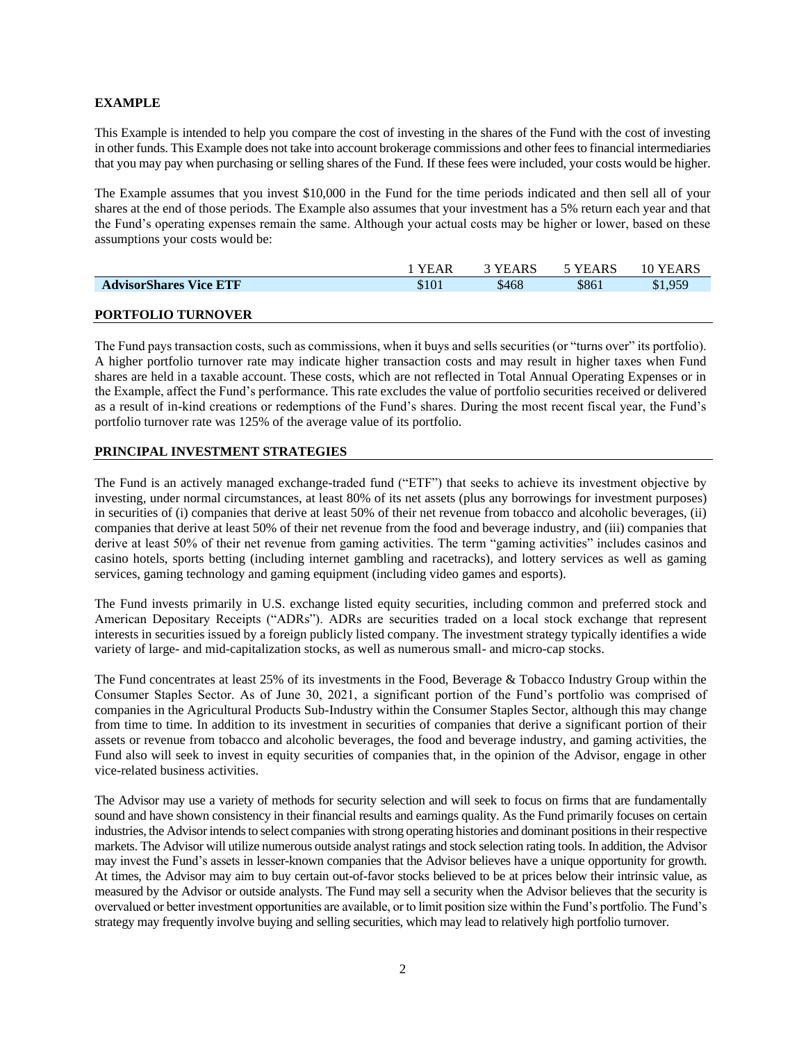### **EXAMPLE**

This Example is intended to help you compare the cost of investing in the shares of the Fund with the cost of investing in other funds. This Example does not take into account brokerage commissions and other fees to financial intermediaries that you may pay when purchasing or selling shares of the Fund. If these fees were included, your costs would be higher.

The Example assumes that you invest \$10,000 in the Fund for the time periods indicated and then sell all of your shares at the end of those periods. The Example also assumes that your investment has a 5% return each year and that the Fund's operating expenses remain the same. Although your actual costs may be higher or lower, based on these assumptions your costs would be:

|                               | <b>YEAR</b> | 3 YEARS | 5 YEARS | 10 YEARS |
|-------------------------------|-------------|---------|---------|----------|
| <b>AdvisorShares Vice ETF</b> | \$101       | \$468   | \$861   | \$1,959  |
|                               |             |         |         |          |
| <b>PORTFOLIO TURNOVER</b>     |             |         |         |          |

The Fund pays transaction costs, such as commissions, when it buys and sells securities (or "turns over" its portfolio). A higher portfolio turnover rate may indicate higher transaction costs and may result in higher taxes when Fund shares are held in a taxable account. These costs, which are not reflected in Total Annual Operating Expenses or in the Example, affect the Fund's performance. This rate excludes the value of portfolio securities received or delivered as a result of in-kind creations or redemptions of the Fund's shares. During the most recent fiscal year, the Fund's portfolio turnover rate was 125% of the average value of its portfolio.

### **PRINCIPAL INVESTMENT STRATEGIES**

The Fund is an actively managed exchange-traded fund ("ETF") that seeks to achieve its investment objective by investing, under normal circumstances, at least 80% of its net assets (plus any borrowings for investment purposes) in securities of (i) companies that derive at least 50% of their net revenue from tobacco and alcoholic beverages, (ii) companies that derive at least 50% of their net revenue from the food and beverage industry, and (iii) companies that derive at least 50% of their net revenue from gaming activities. The term "gaming activities" includes casinos and casino hotels, sports betting (including internet gambling and racetracks), and lottery services as well as gaming services, gaming technology and gaming equipment (including video games and esports).

The Fund invests primarily in U.S. exchange listed equity securities, including common and preferred stock and American Depositary Receipts ("ADRs"). ADRs are securities traded on a local stock exchange that represent interests in securities issued by a foreign publicly listed company. The investment strategy typically identifies a wide variety of large- and mid-capitalization stocks, as well as numerous small- and micro-cap stocks.

The Fund concentrates at least 25% of its investments in the Food, Beverage & Tobacco Industry Group within the Consumer Staples Sector. As of June 30, 2021, a significant portion of the Fund's portfolio was comprised of companies in the Agricultural Products Sub-Industry within the Consumer Staples Sector, although this may change from time to time. In addition to its investment in securities of companies that derive a significant portion of their assets or revenue from tobacco and alcoholic beverages, the food and beverage industry, and gaming activities, the Fund also will seek to invest in equity securities of companies that, in the opinion of the Advisor, engage in other vice-related business activities.

The Advisor may use a variety of methods for security selection and will seek to focus on firms that are fundamentally sound and have shown consistency in their financial results and earnings quality. As the Fund primarily focuses on certain industries, the Advisor intends to select companies with strong operating histories and dominant positions in their respective markets. The Advisor will utilize numerous outside analyst ratings and stock selection rating tools. In addition, the Advisor may invest the Fund's assets in lesser-known companies that the Advisor believes have a unique opportunity for growth. At times, the Advisor may aim to buy certain out-of-favor stocks believed to be at prices below their intrinsic value, as measured by the Advisor or outside analysts. The Fund may sell a security when the Advisor believes that the security is overvalued or better investment opportunities are available, or to limit position size within the Fund's portfolio. The Fund's strategy may frequently involve buying and selling securities, which may lead to relatively high portfolio turnover.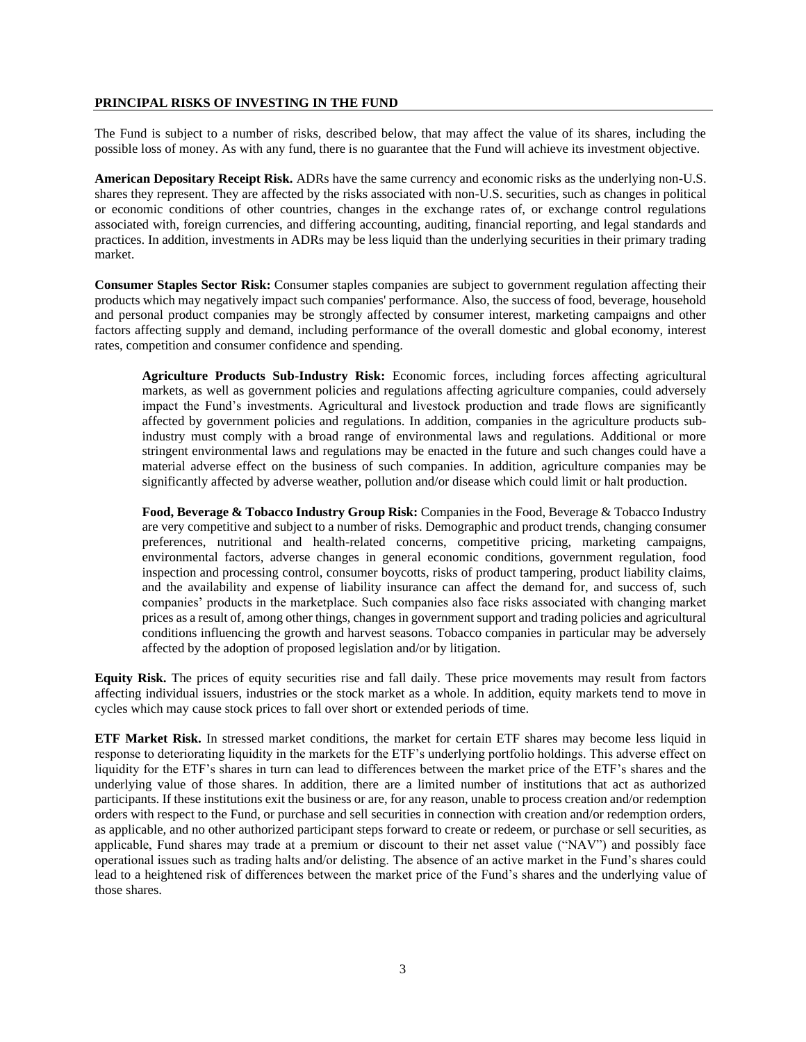#### **PRINCIPAL RISKS OF INVESTING IN THE FUND**

The Fund is subject to a number of risks, described below, that may affect the value of its shares, including the possible loss of money. As with any fund, there is no guarantee that the Fund will achieve its investment objective.

**American Depositary Receipt Risk.** ADRs have the same currency and economic risks as the underlying non-U.S. shares they represent. They are affected by the risks associated with non-U.S. securities, such as changes in political or economic conditions of other countries, changes in the exchange rates of, or exchange control regulations associated with, foreign currencies, and differing accounting, auditing, financial reporting, and legal standards and practices. In addition, investments in ADRs may be less liquid than the underlying securities in their primary trading market.

**Consumer Staples Sector Risk:** Consumer staples companies are subject to government regulation affecting their products which may negatively impact such companies' performance. Also, the success of food, beverage, household and personal product companies may be strongly affected by consumer interest, marketing campaigns and other factors affecting supply and demand, including performance of the overall domestic and global economy, interest rates, competition and consumer confidence and spending.

**Agriculture Products Sub-Industry Risk:** Economic forces, including forces affecting agricultural markets, as well as government policies and regulations affecting agriculture companies, could adversely impact the Fund's investments. Agricultural and livestock production and trade flows are significantly affected by government policies and regulations. In addition, companies in the agriculture products subindustry must comply with a broad range of environmental laws and regulations. Additional or more stringent environmental laws and regulations may be enacted in the future and such changes could have a material adverse effect on the business of such companies. In addition, agriculture companies may be significantly affected by adverse weather, pollution and/or disease which could limit or halt production.

**Food, Beverage & Tobacco Industry Group Risk:** Companies in the Food, Beverage & Tobacco Industry are very competitive and subject to a number of risks. Demographic and product trends, changing consumer preferences, nutritional and health-related concerns, competitive pricing, marketing campaigns, environmental factors, adverse changes in general economic conditions, government regulation, food inspection and processing control, consumer boycotts, risks of product tampering, product liability claims, and the availability and expense of liability insurance can affect the demand for, and success of, such companies' products in the marketplace. Such companies also face risks associated with changing market prices as a result of, among other things, changes in government support and trading policies and agricultural conditions influencing the growth and harvest seasons. Tobacco companies in particular may be adversely affected by the adoption of proposed legislation and/or by litigation.

**Equity Risk.** The prices of equity securities rise and fall daily. These price movements may result from factors affecting individual issuers, industries or the stock market as a whole. In addition, equity markets tend to move in cycles which may cause stock prices to fall over short or extended periods of time.

**ETF Market Risk.** In stressed market conditions, the market for certain ETF shares may become less liquid in response to deteriorating liquidity in the markets for the ETF's underlying portfolio holdings. This adverse effect on liquidity for the ETF's shares in turn can lead to differences between the market price of the ETF's shares and the underlying value of those shares. In addition, there are a limited number of institutions that act as authorized participants. If these institutions exit the business or are, for any reason, unable to process creation and/or redemption orders with respect to the Fund, or purchase and sell securities in connection with creation and/or redemption orders, as applicable, and no other authorized participant steps forward to create or redeem, or purchase or sell securities, as applicable, Fund shares may trade at a premium or discount to their net asset value ("NAV") and possibly face operational issues such as trading halts and/or delisting. The absence of an active market in the Fund's shares could lead to a heightened risk of differences between the market price of the Fund's shares and the underlying value of those shares.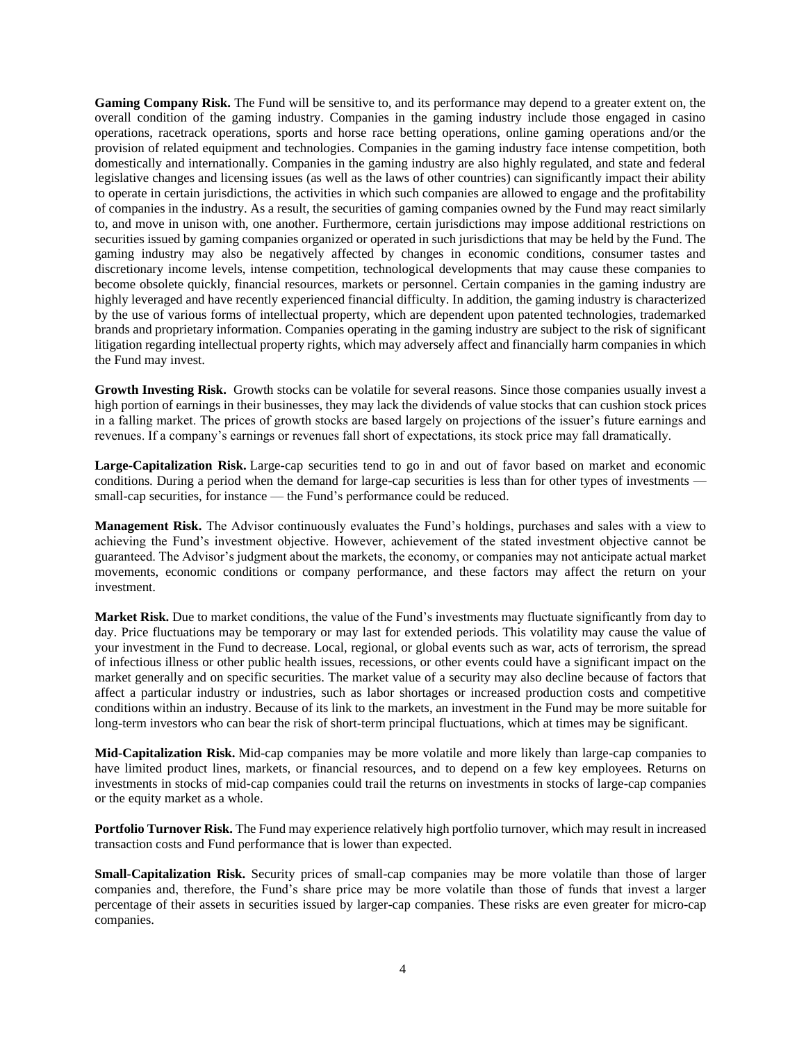**Gaming Company Risk.** The Fund will be sensitive to, and its performance may depend to a greater extent on, the overall condition of the gaming industry. Companies in the gaming industry include those engaged in casino operations, racetrack operations, sports and horse race betting operations, online gaming operations and/or the provision of related equipment and technologies. Companies in the gaming industry face intense competition, both domestically and internationally. Companies in the gaming industry are also highly regulated, and state and federal legislative changes and licensing issues (as well as the laws of other countries) can significantly impact their ability to operate in certain jurisdictions, the activities in which such companies are allowed to engage and the profitability of companies in the industry. As a result, the securities of gaming companies owned by the Fund may react similarly to, and move in unison with, one another. Furthermore, certain jurisdictions may impose additional restrictions on securities issued by gaming companies organized or operated in such jurisdictions that may be held by the Fund. The gaming industry may also be negatively affected by changes in economic conditions, consumer tastes and discretionary income levels, intense competition, technological developments that may cause these companies to become obsolete quickly, financial resources, markets or personnel. Certain companies in the gaming industry are highly leveraged and have recently experienced financial difficulty. In addition, the gaming industry is characterized by the use of various forms of intellectual property, which are dependent upon patented technologies, trademarked brands and proprietary information. Companies operating in the gaming industry are subject to the risk of significant litigation regarding intellectual property rights, which may adversely affect and financially harm companies in which the Fund may invest.

**Growth Investing Risk.** Growth stocks can be volatile for several reasons. Since those companies usually invest a high portion of earnings in their businesses, they may lack the dividends of value stocks that can cushion stock prices in a falling market. The prices of growth stocks are based largely on projections of the issuer's future earnings and revenues. If a company's earnings or revenues fall short of expectations, its stock price may fall dramatically.

**Large-Capitalization Risk.** Large-cap securities tend to go in and out of favor based on market and economic conditions. During a period when the demand for large-cap securities is less than for other types of investments small-cap securities, for instance — the Fund's performance could be reduced.

**Management Risk.** The Advisor continuously evaluates the Fund's holdings, purchases and sales with a view to achieving the Fund's investment objective. However, achievement of the stated investment objective cannot be guaranteed. The Advisor's judgment about the markets, the economy, or companies may not anticipate actual market movements, economic conditions or company performance, and these factors may affect the return on your investment.

**Market Risk.** Due to market conditions, the value of the Fund's investments may fluctuate significantly from day to day. Price fluctuations may be temporary or may last for extended periods. This volatility may cause the value of your investment in the Fund to decrease. Local, regional, or global events such as war, acts of terrorism, the spread of infectious illness or other public health issues, recessions, or other events could have a significant impact on the market generally and on specific securities. The market value of a security may also decline because of factors that affect a particular industry or industries, such as labor shortages or increased production costs and competitive conditions within an industry. Because of its link to the markets, an investment in the Fund may be more suitable for long-term investors who can bear the risk of short-term principal fluctuations, which at times may be significant.

**Mid-Capitalization Risk.** Mid-cap companies may be more volatile and more likely than large-cap companies to have limited product lines, markets, or financial resources, and to depend on a few key employees. Returns on investments in stocks of mid-cap companies could trail the returns on investments in stocks of large-cap companies or the equity market as a whole.

**Portfolio Turnover Risk.** The Fund may experience relatively high portfolio turnover, which may result in increased transaction costs and Fund performance that is lower than expected.

**Small-Capitalization Risk.** Security prices of small-cap companies may be more volatile than those of larger companies and, therefore, the Fund's share price may be more volatile than those of funds that invest a larger percentage of their assets in securities issued by larger-cap companies. These risks are even greater for micro-cap companies.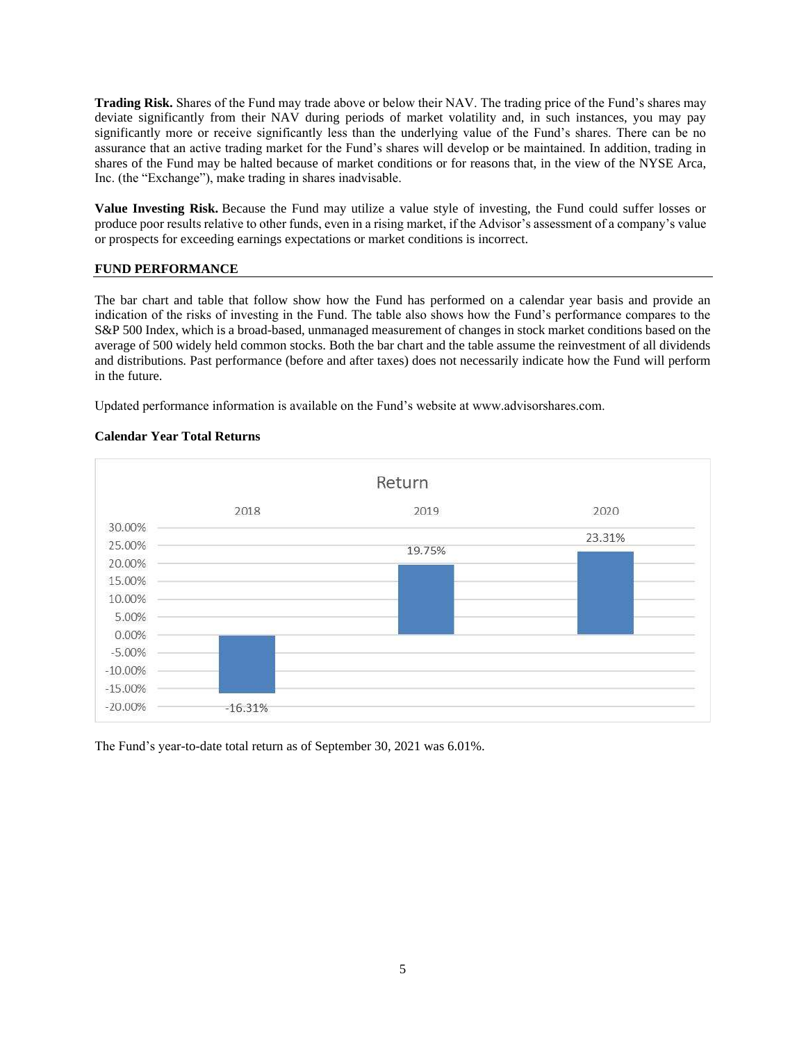**Trading Risk.** Shares of the Fund may trade above or below their NAV. The trading price of the Fund's shares may deviate significantly from their NAV during periods of market volatility and, in such instances, you may pay significantly more or receive significantly less than the underlying value of the Fund's shares. There can be no assurance that an active trading market for the Fund's shares will develop or be maintained. In addition, trading in shares of the Fund may be halted because of market conditions or for reasons that, in the view of the NYSE Arca, Inc. (the "Exchange"), make trading in shares inadvisable.

**Value Investing Risk.** Because the Fund may utilize a value style of investing, the Fund could suffer losses or produce poor results relative to other funds, even in a rising market, if the Advisor's assessment of a company's value or prospects for exceeding earnings expectations or market conditions is incorrect.

### **FUND PERFORMANCE**

The bar chart and table that follow show how the Fund has performed on a calendar year basis and provide an indication of the risks of investing in the Fund. The table also shows how the Fund's performance compares to the S&P 500 Index, which is a broad-based, unmanaged measurement of changes in stock market conditions based on the average of 500 widely held common stocks. Both the bar chart and the table assume the reinvestment of all dividends and distributions. Past performance (before and after taxes) does not necessarily indicate how the Fund will perform in the future.

Updated performance information is available on the Fund's website at www.advisorshares.com.

## **Calendar Year Total Returns**



The Fund's year-to-date total return as of September 30, 2021 was 6.01%.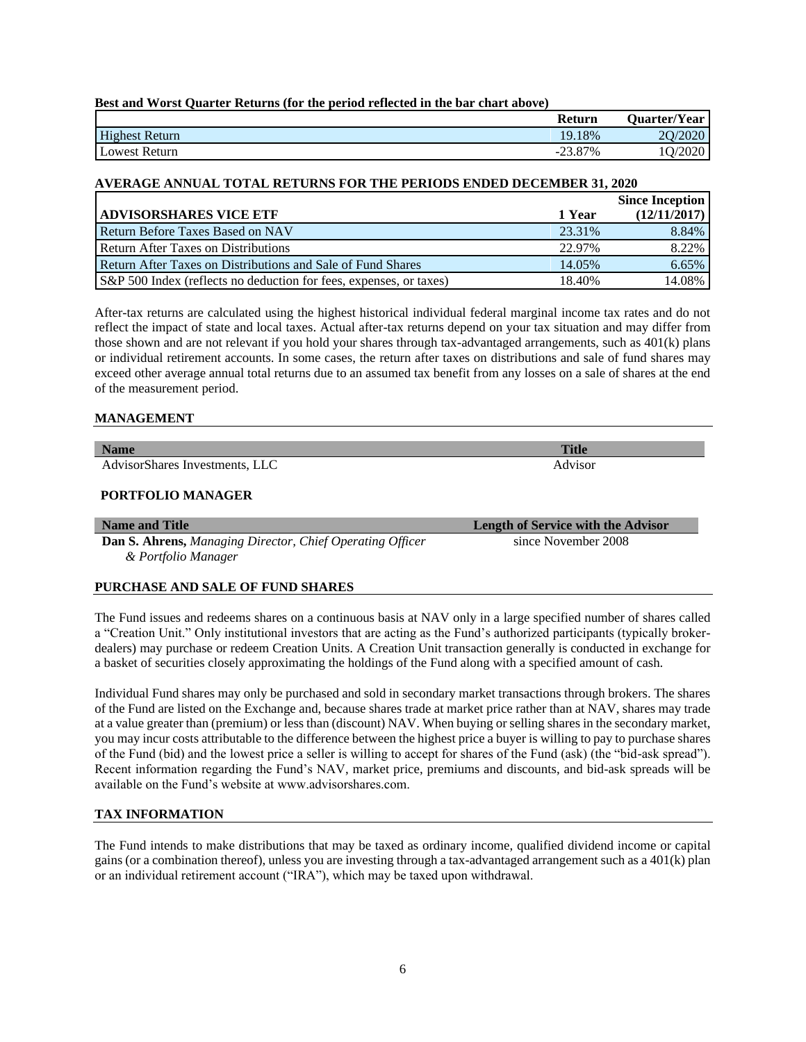## **Best and Worst Quarter Returns (for the period reflected in the bar chart above)**

|                       | <b>Return</b>             | <b>Quarter/Year</b>     |
|-----------------------|---------------------------|-------------------------|
| <b>Highest Return</b> | 19.18%                    | 2O <sub>l</sub><br>ZUZU |
| Lowest Return         | 23.87%<br>$\sim$ $\prime$ | ZUZU                    |

### **AVERAGE ANNUAL TOTAL RETURNS FOR THE PERIODS ENDED DECEMBER 31, 2020**

|                                                                    |        | <b>Since Inception</b> |
|--------------------------------------------------------------------|--------|------------------------|
| <b>ADVISORSHARES VICE ETF</b>                                      | 1 Year | (12/11/2017)           |
| <b>Return Before Taxes Based on NAV</b>                            | 23.31% | 8.84%                  |
| <b>Return After Taxes on Distributions</b>                         | 22.97% | 8.22%                  |
| Return After Taxes on Distributions and Sale of Fund Shares        | 14.05% | 6.65%                  |
| S&P 500 Index (reflects no deduction for fees, expenses, or taxes) | 18.40% | 14.08%                 |

After-tax returns are calculated using the highest historical individual federal marginal income tax rates and do not reflect the impact of state and local taxes. Actual after-tax returns depend on your tax situation and may differ from those shown and are not relevant if you hold your shares through tax-advantaged arrangements, such as 401(k) plans or individual retirement accounts. In some cases, the return after taxes on distributions and sale of fund shares may exceed other average annual total returns due to an assumed tax benefit from any losses on a sale of shares at the end of the measurement period.

### **MANAGEMENT**

**Name Title** AdvisorShares Investments, LLC Advisor

### **PORTFOLIO MANAGER**

**Dan S. Ahrens,** *Managing Director, Chief Operating Officer & Portfolio Manager* 

## **PURCHASE AND SALE OF FUND SHARES**

The Fund issues and redeems shares on a continuous basis at NAV only in a large specified number of shares called a "Creation Unit." Only institutional investors that are acting as the Fund's authorized participants (typically brokerdealers) may purchase or redeem Creation Units. A Creation Unit transaction generally is conducted in exchange for a basket of securities closely approximating the holdings of the Fund along with a specified amount of cash.

Individual Fund shares may only be purchased and sold in secondary market transactions through brokers. The shares of the Fund are listed on the Exchange and, because shares trade at market price rather than at NAV, shares may trade at a value greater than (premium) or less than (discount) NAV. When buying or selling shares in the secondary market, you may incur costs attributable to the difference between the highest price a buyer is willing to pay to purchase shares of the Fund (bid) and the lowest price a seller is willing to accept for shares of the Fund (ask) (the "bid-ask spread"). Recent information regarding the Fund's NAV, market price, premiums and discounts, and bid-ask spreads will be available on the Fund's website at www.advisorshares.com.

# **TAX INFORMATION**

The Fund intends to make distributions that may be taxed as ordinary income, qualified dividend income or capital gains (or a combination thereof), unless you are investing through a tax-advantaged arrangement such as a 401(k) plan or an individual retirement account ("IRA"), which may be taxed upon withdrawal.

**Name and Title Length of Service with the Advisor** since November 2008